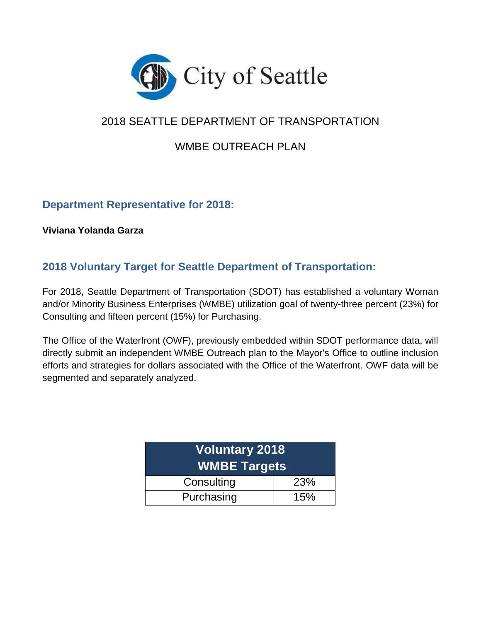

# 2018 SEATTLE DEPARTMENT OF TRANSPORTATION

# WMBE OUTREACH PLAN

# **Department Representative for 2018:**

**Viviana Yolanda Garza**

# **2018 Voluntary Target for Seattle Department of Transportation:**

For 2018, Seattle Department of Transportation (SDOT) has established a voluntary Woman and/or Minority Business Enterprises (WMBE) utilization goal of twenty-three percent (23%) for Consulting and fifteen percent (15%) for Purchasing.

The Office of the Waterfront (OWF), previously embedded within SDOT performance data, will directly submit an independent WMBE Outreach plan to the Mayor's Office to outline inclusion efforts and strategies for dollars associated with the Office of the Waterfront. OWF data will be segmented and separately analyzed.

| <b>Voluntary 2018</b><br><b>WMBE Targets</b> |            |  |  |  |
|----------------------------------------------|------------|--|--|--|
| Consulting                                   | <b>23%</b> |  |  |  |
| Purchasing                                   | 15%        |  |  |  |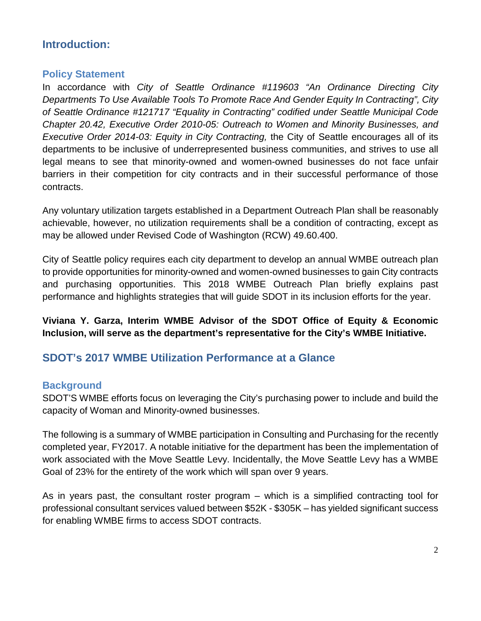# **Introduction:**

## **Policy Statement**

In accordance with *City of Seattle Ordinance #119603 "An Ordinance Directing City Departments To Use Available Tools To Promote Race And Gender Equity In Contracting", City of Seattle Ordinance #121717 "Equality in Contracting" codified under Seattle Municipal Code Chapter 20.42, Executive Order 2010-05: Outreach to Women and Minority Businesses, and Executive Order 2014-03: Equity in City Contracting,* the City of Seattle encourages all of its departments to be inclusive of underrepresented business communities, and strives to use all legal means to see that minority-owned and women-owned businesses do not face unfair barriers in their competition for city contracts and in their successful performance of those contracts.

Any voluntary utilization targets established in a Department Outreach Plan shall be reasonably achievable, however, no utilization requirements shall be a condition of contracting, except as may be allowed under Revised Code of Washington (RCW) 49.60.400.

City of Seattle policy requires each city department to develop an annual WMBE outreach plan to provide opportunities for minority-owned and women-owned businesses to gain City contracts and purchasing opportunities. This 2018 WMBE Outreach Plan briefly explains past performance and highlights strategies that will guide SDOT in its inclusion efforts for the year.

**Viviana Y. Garza, Interim WMBE Advisor of the SDOT Office of Equity & Economic Inclusion, will serve as the department's representative for the City's WMBE Initiative.**

# **SDOT's 2017 WMBE Utilization Performance at a Glance**

## **Background**

SDOT'S WMBE efforts focus on leveraging the City's purchasing power to include and build the capacity of Woman and Minority-owned businesses.

The following is a summary of WMBE participation in Consulting and Purchasing for the recently completed year, FY2017. A notable initiative for the department has been the implementation of work associated with the Move Seattle Levy. Incidentally, the Move Seattle Levy has a WMBE Goal of 23% for the entirety of the work which will span over 9 years.

As in years past, the consultant roster program – which is a simplified contracting tool for professional consultant services valued between \$52K - \$305K – has yielded significant success for enabling WMBE firms to access SDOT contracts.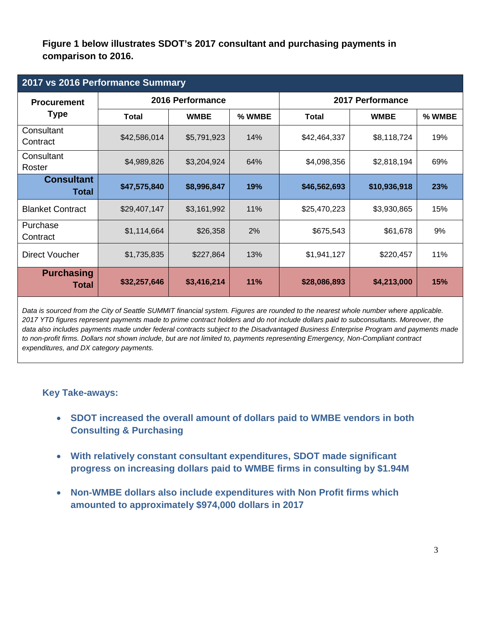**Figure 1 below illustrates SDOT's 2017 consultant and purchasing payments in comparison to 2016.**

| 2017 vs 2016 Performance Summary  |              |                  |            |                  |              |            |  |  |
|-----------------------------------|--------------|------------------|------------|------------------|--------------|------------|--|--|
| <b>Procurement</b>                |              | 2016 Performance |            | 2017 Performance |              |            |  |  |
| <b>Type</b>                       | <b>Total</b> | <b>WMBE</b>      | % WMBE     | <b>Total</b>     | <b>WMBE</b>  | % WMBE     |  |  |
| Consultant<br>Contract            | \$42,586,014 | \$5,791,923      | 14%        | \$42,464,337     | \$8,118,724  | 19%        |  |  |
| Consultant<br>Roster              | \$4,989,826  | \$3,204,924      | 64%        | \$4,098,356      | \$2,818,194  | 69%        |  |  |
| <b>Consultant</b><br><b>Total</b> | \$47,575,840 | \$8,996,847      | 19%        | \$46,562,693     | \$10,936,918 | 23%        |  |  |
| <b>Blanket Contract</b>           | \$29,407,147 | \$3,161,992      | 11%        | \$25,470,223     | \$3,930,865  | 15%        |  |  |
| Purchase<br>Contract              | \$1,114,664  | \$26,358         | 2%         | \$675,543        | \$61,678     | 9%         |  |  |
| <b>Direct Voucher</b>             | \$1,735,835  | \$227,864        | 13%        | \$1,941,127      | \$220,457    | 11%        |  |  |
| <b>Purchasing</b><br>Total        | \$32,257,646 | \$3,416,214      | <b>11%</b> | \$28,086,893     | \$4,213,000  | <b>15%</b> |  |  |

*Data is sourced from the City of Seattle SUMMIT financial system. Figures are rounded to the nearest whole number where applicable. 2017 YTD figures represent payments made to prime contract holders and do not include dollars paid to subconsultants. Moreover, the data also includes payments made under federal contracts subject to the Disadvantaged Business Enterprise Program and payments made to non-profit firms. Dollars not shown include, but are not limited to, payments representing Emergency, Non-Compliant contract expenditures, and DX category payments.*

#### **Key Take-aways:**

- **SDOT increased the overall amount of dollars paid to WMBE vendors in both Consulting & Purchasing**
- **With relatively constant consultant expenditures, SDOT made significant progress on increasing dollars paid to WMBE firms in consulting by \$1.94M**
- **Non-WMBE dollars also include expenditures with Non Profit firms which amounted to approximately \$974,000 dollars in 2017**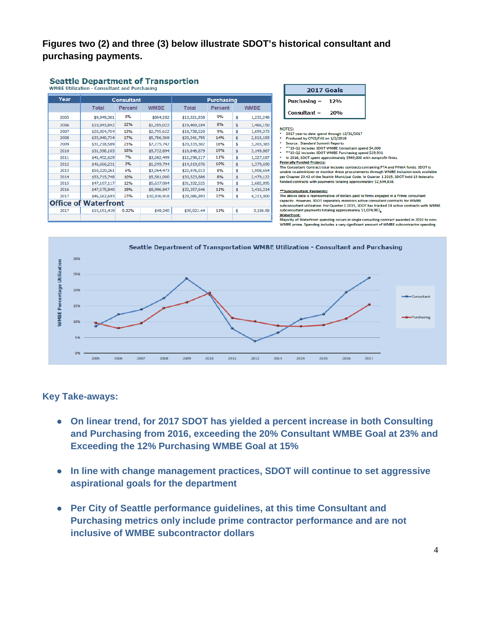## **Figures two (2) and three (3) below illustrate SDOT's historical consultant and purchasing payments.**

#### **Seattle Department of Transportion WMBE Utilization - Consultant and Purchasing**

| Year | <b>Consultant</b>           |                | <b>Purchasing</b> |              |         |    |             |
|------|-----------------------------|----------------|-------------------|--------------|---------|----|-------------|
|      | <b>Total</b>                | <b>Percent</b> | <b>WMBE</b>       | <b>Total</b> | Percent |    | <b>WMBE</b> |
| 2005 | \$9,849,381                 | 8%             | \$804,282         | \$13,321,858 | 9%      | \$ | 1,232,248   |
| 2006 | \$10,843,842                | 12%            | \$1,285,022       | \$19,469,184 | 8%      | \$ | 1,466,150   |
| 2007 | \$20,804,704                | 13%            | \$2,795,622       | \$18,738,520 | 9%      | \$ | 1,699,373   |
| 2008 | \$33,940,734                | 17%            | \$5,786,369       | \$20,241,795 | 14%     | \$ | 2,818,193   |
| 2009 | \$31,218,589                | 23%            | \$7,275,742       | \$20,333,302 | 16%     | \$ | 3,203,383   |
| 2010 | \$31,398,103                | 18%            | \$5,732,694       | \$16,846,679 | 19%     | \$ | 3,149,867   |
| 2011 | \$41,452,629                | 7%             | \$3,082,499       | \$12,298,217 | 11%     | \$ | 1,327,187   |
| 2012 | \$46,666,231                | 3%             | \$1,599,794       | \$14,319,076 | 10%     | \$ | 1,379,690   |
| 2013 | \$50,220,261                | 6%             | \$3,064,473       | \$22,976,013 | 8%      | \$ | 1,908,654   |
| 2014 | \$53,715,748                | 10%            | \$5,581,000       | \$30,523,886 | 8%      | \$ | 2,479,122   |
| 2015 | \$47,107,117                | 12%            | \$5,637,004       | \$31,332,525 | 9%      | \$ | 2,682,895   |
| 2016 | \$47,575,840                | 19%            | \$8,996,847       | \$32,257,646 | 11%     | \$ | 3,416,214   |
| 2017 | \$46,562,693                | 23%            | \$10,936,918      | \$28,086,893 | 15%     | \$ | 4,213,000   |
|      | <b>Office of Waterfront</b> |                |                   |              |         |    |             |
| 2017 | \$15,151,419                | 0.32%          | \$49,240          | \$30,021.44  | 11%     | \$ | 3,186.58    |
|      |                             |                |                   |              |         |    |             |

| 2017 Goals              |     |  |  |  |  |
|-------------------------|-----|--|--|--|--|
| $Purchasing =$          | 12% |  |  |  |  |
| $Consider$ Consultant = | 20% |  |  |  |  |

#### NOTES:

2017 year to date spend through 12/31/2017

- 
- 2017 year to date spend through 12/31/2017<br>Produced by CPCS/FAS on 1/2/2018<br>Source: Standard Summit Reports<br>\*\*15-02 includes SDOT WMBE Consultant spend \$4,000<br>\*\*15-02 includes SDOT WMBE Purchasing spend \$29,931<br>In 2016, SD
- 
- Federally Funded Projects:

The Consultant Contract total includes contracts containing FTA and FHWA funds. SDOT is<br>unable to administer or monitor these procurements through WMBE inclusion tools available<br>per Chapter 20.42 of the Seattle Municipal C funded contracts with payments totaling approximately \$2,594,838.

#### **\*\*Subconsultant Payments:**

The above data is representative of dollars paid to firms engaged in a Prime consultant capacity. However, SDOT separately monitors active consultant contracts for WMBE<br>subconsultant utilization. For Quarter 1 2015, SDOT has tracked 14 active contracts with WMBE subconsultant payments totaling approximately \$1,074,987.

successions are experienced to the second server of the contract and the second server of the server of the server of the server of the server of the server of the server of the server of the server of the server of the se WMBE prime. Spending includes a very significant amount of WMBE subcontractor spending.



#### **Key Take-aways:**

- **On linear trend, for 2017 SDOT has yielded a percent increase in both Consulting and Purchasing from 2016, exceeding the 20% Consultant WMBE Goal at 23% and Exceeding the 12% Purchasing WMBE Goal at 15%**
- **In line with change management practices, SDOT will continue to set aggressive aspirational goals for the department**
- **Per City of Seattle performance guidelines, at this time Consultant and Purchasing metrics only include prime contractor performance and are not inclusive of WMBE subcontractor dollars**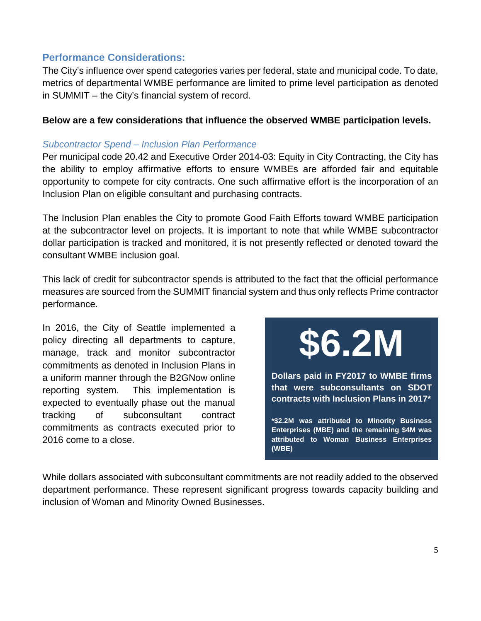## **Performance Considerations:**

The City's influence over spend categories varies per federal, state and municipal code. To date, metrics of departmental WMBE performance are limited to prime level participation as denoted in SUMMIT – the City's financial system of record.

#### **Below are a few considerations that influence the observed WMBE participation levels.**

#### *Subcontractor Spend – Inclusion Plan Performance*

Per municipal code 20.42 and Executive Order 2014-03: Equity in City Contracting, the City has the ability to employ affirmative efforts to ensure WMBEs are afforded fair and equitable opportunity to compete for city contracts. One such affirmative effort is the incorporation of an Inclusion Plan on eligible consultant and purchasing contracts.

The Inclusion Plan enables the City to promote Good Faith Efforts toward WMBE participation at the subcontractor level on projects. It is important to note that while WMBE subcontractor dollar participation is tracked and monitored, it is not presently reflected or denoted toward the consultant WMBE inclusion goal.

This lack of credit for subcontractor spends is attributed to the fact that the official performance measures are sourced from the SUMMIT financial system and thus only reflects Prime contractor performance.

In 2016, the City of Seattle implemented a policy directing all departments to capture, manage, track and monitor subcontractor commitments as denoted in Inclusion Plans in a uniform manner through the B2GNow online reporting system. This implementation is expected to eventually phase out the manual tracking of subconsultant contract commitments as contracts executed prior to 2016 come to a close.

**\$6.2M**

**Dollars paid in FY2017 to WMBE firms that were subconsultants on SDOT contracts with Inclusion Plans in 2017\***

**\*\$2.2M was attributed to Minority Business Enterprises (MBE) and the remaining \$4M was attributed to Woman Business Enterprises (WBE)**

While dollars associated with subconsultant commitments are not readily added to the observed department performance. These represent significant progress towards capacity building and inclusion of Woman and Minority Owned Businesses.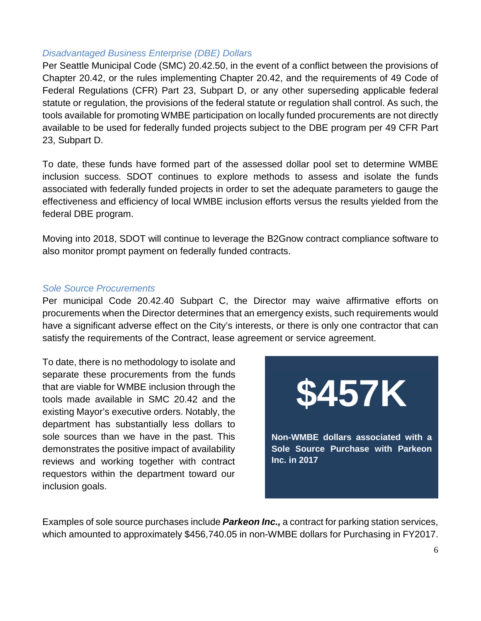#### *Disadvantaged Business Enterprise (DBE) Dollars*

Per Seattle Municipal Code (SMC) 20.42.50, in the event of a conflict between the provisions of Chapter 20.42, or the rules implementing Chapter 20.42, and the requirements of 49 Code of Federal Regulations (CFR) Part 23, Subpart D, or any other superseding applicable federal statute or regulation, the provisions of the federal statute or regulation shall control. As such, the tools available for promoting WMBE participation on locally funded procurements are not directly available to be used for federally funded projects subject to the DBE program per 49 CFR Part 23, Subpart D.

To date, these funds have formed part of the assessed dollar pool set to determine WMBE inclusion success. SDOT continues to explore methods to assess and isolate the funds associated with federally funded projects in order to set the adequate parameters to gauge the effectiveness and efficiency of local WMBE inclusion efforts versus the results yielded from the federal DBE program.

Moving into 2018, SDOT will continue to leverage the B2Gnow contract compliance software to also monitor prompt payment on federally funded contracts.

#### *Sole Source Procurements*

Per municipal Code 20.42.40 Subpart C, the Director may waive affirmative efforts on procurements when the Director determines that an emergency exists, such requirements would have a significant adverse effect on the City's interests, or there is only one contractor that can satisfy the requirements of the Contract, lease agreement or service agreement.

To date, there is no methodology to isolate and separate these procurements from the funds that are viable for WMBE inclusion through the tools made available in SMC 20.42 and the existing Mayor's executive orders. Notably, the department has substantially less dollars to sole sources than we have in the past. This demonstrates the positive impact of availability reviews and working together with contract requestors within the department toward our inclusion goals.



Examples of sole source purchases include *Parkeon Inc.,* a contract for parking station services, which amounted to approximately \$456,740.05 in non-WMBE dollars for Purchasing in FY2017.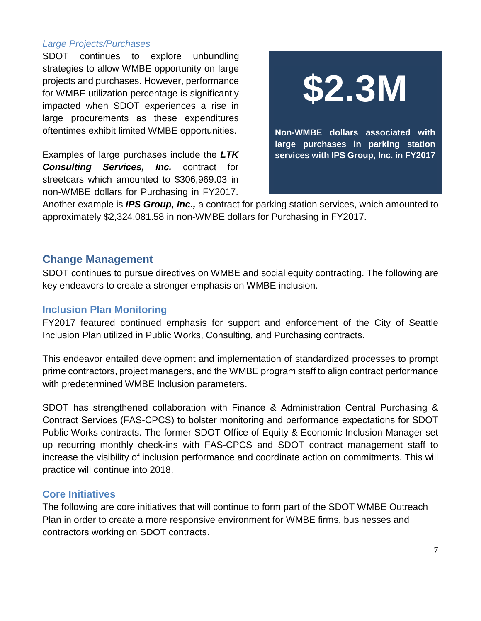#### *Large Projects/Purchases*

SDOT continues to explore unbundling strategies to allow WMBE opportunity on large projects and purchases. However, performance for WMBE utilization percentage is significantly impacted when SDOT experiences a rise in large procurements as these expenditures oftentimes exhibit limited WMBE opportunities.

Examples of large purchases include the *LTK Consulting Services, Inc.* contract for streetcars which amounted to \$306,969.03 in non-WMBE dollars for Purchasing in FY2017.

**\$2.3M**

**Non-WMBE dollars associated with large purchases in parking station services with IPS Group, Inc. in FY2017**

Another example is *IPS Group, Inc.,* a contract for parking station services, which amounted to approximately \$2,324,081.58 in non-WMBE dollars for Purchasing in FY2017.

## **Change Management**

SDOT continues to pursue directives on WMBE and social equity contracting. The following are key endeavors to create a stronger emphasis on WMBE inclusion.

## **Inclusion Plan Monitoring**

FY2017 featured continued emphasis for support and enforcement of the City of Seattle Inclusion Plan utilized in Public Works, Consulting, and Purchasing contracts.

This endeavor entailed development and implementation of standardized processes to prompt prime contractors, project managers, and the WMBE program staff to align contract performance with predetermined WMBE Inclusion parameters.

SDOT has strengthened collaboration with Finance & Administration Central Purchasing & Contract Services (FAS-CPCS) to bolster monitoring and performance expectations for SDOT Public Works contracts. The former SDOT Office of Equity & Economic Inclusion Manager set up recurring monthly check-ins with FAS-CPCS and SDOT contract management staff to increase the visibility of inclusion performance and coordinate action on commitments. This will practice will continue into 2018.

## **Core Initiatives**

The following are core initiatives that will continue to form part of the SDOT WMBE Outreach Plan in order to create a more responsive environment for WMBE firms, businesses and contractors working on SDOT contracts.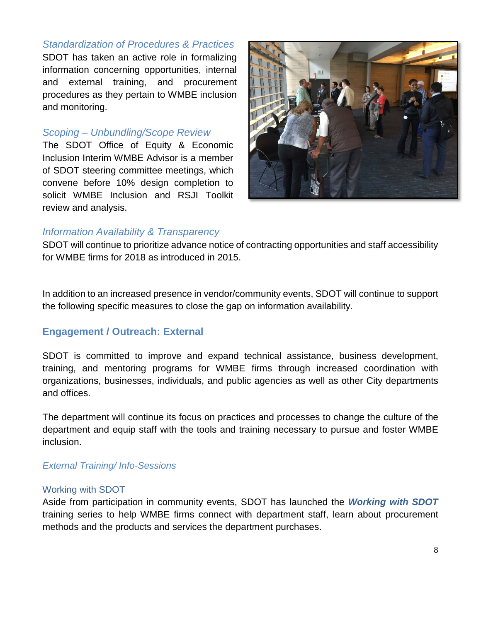## *Standardization of Procedures & Practices*

SDOT has taken an active role in formalizing information concerning opportunities, internal and external training, and procurement procedures as they pertain to WMBE inclusion and monitoring.

#### *Scoping – Unbundling/Scope Review*

The SDOT Office of Equity & Economic Inclusion Interim WMBE Advisor is a member of SDOT steering committee meetings, which convene before 10% design completion to solicit WMBE Inclusion and RSJI Toolkit review and analysis.



#### *Information Availability & Transparency*

SDOT will continue to prioritize advance notice of contracting opportunities and staff accessibility for WMBE firms for 2018 as introduced in 2015.

In addition to an increased presence in vendor/community events, SDOT will continue to support the following specific measures to close the gap on information availability.

## **Engagement / Outreach: External**

SDOT is committed to improve and expand technical assistance, business development, training, and mentoring programs for WMBE firms through increased coordination with organizations, businesses, individuals, and public agencies as well as other City departments and offices.

The department will continue its focus on practices and processes to change the culture of the department and equip staff with the tools and training necessary to pursue and foster WMBE inclusion.

#### *External Training/ Info-Sessions*

#### Working with SDOT

Aside from participation in community events, SDOT has launched the *Working with SDOT*  training series to help WMBE firms connect with department staff, learn about procurement methods and the products and services the department purchases.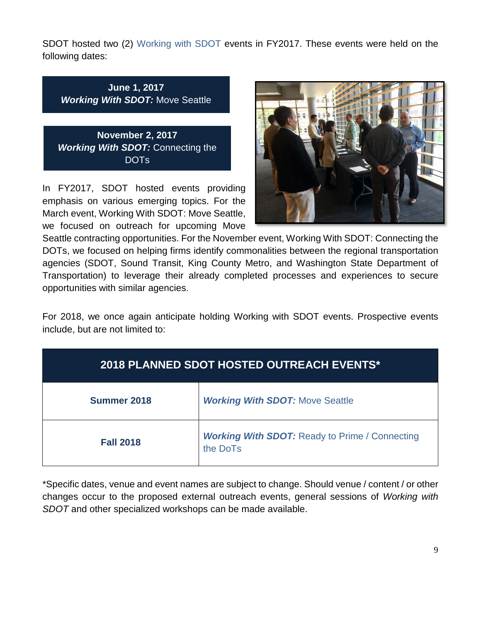SDOT hosted two (2) Working with SDOT events in FY2017. These events were held on the following dates:

**June 1, 2017** *Working With SDOT:* Move Seattle

**November 2, 2017** *Working With SDOT:* Connecting the DOTs

In FY2017, SDOT hosted events providing emphasis on various emerging topics. For the March event, Working With SDOT: Move Seattle, we focused on outreach for upcoming Move



Seattle contracting opportunities. For the November event, Working With SDOT: Connecting the DOTs, we focused on helping firms identify commonalities between the regional transportation agencies (SDOT, Sound Transit, King County Metro, and Washington State Department of Transportation) to leverage their already completed processes and experiences to secure opportunities with similar agencies.

For 2018, we once again anticipate holding Working with SDOT events. Prospective events include, but are not limited to:

| <b>2018 PLANNED SDOT HOSTED OUTREACH EVENTS*</b> |                                                                   |  |  |  |
|--------------------------------------------------|-------------------------------------------------------------------|--|--|--|
| Summer 2018                                      | <b>Working With SDOT: Move Seattle</b>                            |  |  |  |
| <b>Fall 2018</b>                                 | <b>Working With SDOT: Ready to Prime / Connecting</b><br>the DoTs |  |  |  |

\*Specific dates, venue and event names are subject to change. Should venue / content / or other changes occur to the proposed external outreach events, general sessions of *Working with SDOT* and other specialized workshops can be made available.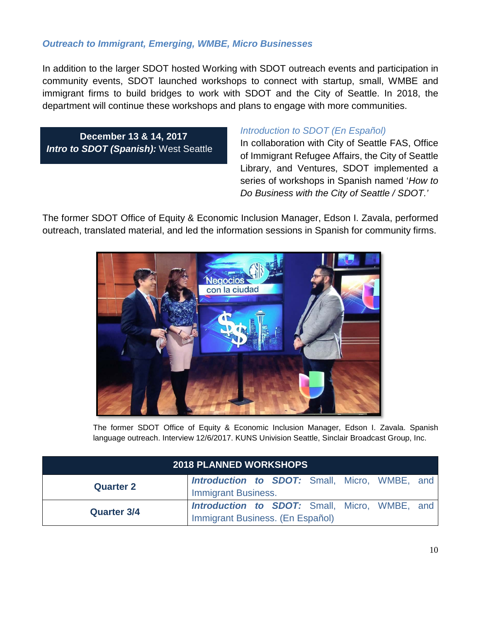#### *Outreach to Immigrant, Emerging, WMBE, Micro Businesses*

In addition to the larger SDOT hosted Working with SDOT outreach events and participation in community events, SDOT launched workshops to connect with startup, small, WMBE and immigrant firms to build bridges to work with SDOT and the City of Seattle. In 2018, the department will continue these workshops and plans to engage with more communities.

**December 13 & 14, 2017** *Intro to SDOT (Spanish):* West Seattle

#### *Introduction to SDOT (En Español)*

In collaboration with City of Seattle FAS, Office of Immigrant Refugee Affairs, the City of Seattle Library, and Ventures, SDOT implemented a series of workshops in Spanish named '*How to Do Business with the City of Seattle / SDOT.'*

The former SDOT Office of Equity & Economic Inclusion Manager, Edson I. Zavala, performed outreach, translated material, and led the information sessions in Spanish for community firms.



The former SDOT Office of Equity & Economic Inclusion Manager, Edson I. Zavala. Spanish language outreach. Interview 12/6/2017. KUNS Univision Seattle, Sinclair Broadcast Group, Inc.

| <b>2018 PLANNED WORKSHOPS</b> |                                                      |  |  |  |  |  |  |
|-------------------------------|------------------------------------------------------|--|--|--|--|--|--|
| <b>Quarter 2</b>              | <b>Introduction to SDOT:</b> Small, Micro, WMBE, and |  |  |  |  |  |  |
|                               | <b>Immigrant Business.</b>                           |  |  |  |  |  |  |
| <b>Quarter 3/4</b>            | <b>Introduction to SDOT:</b> Small, Micro, WMBE, and |  |  |  |  |  |  |
|                               | Immigrant Business. (En Español)                     |  |  |  |  |  |  |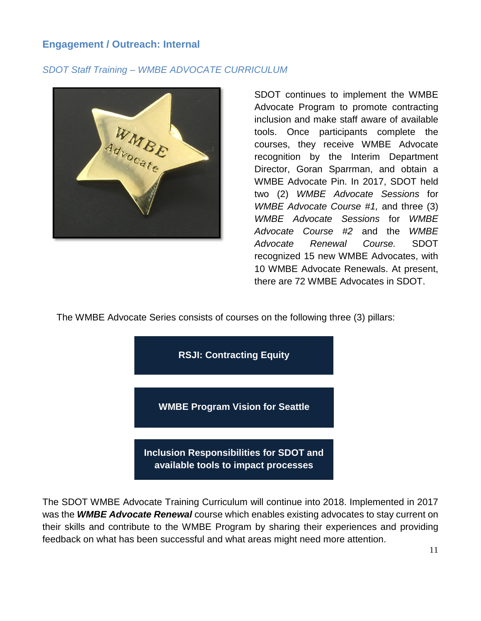## **Engagement / Outreach: Internal**

## *SDOT Staff Training – WMBE ADVOCATE CURRICULUM*



SDOT continues to implement the WMBE Advocate Program to promote contracting inclusion and make staff aware of available tools. Once participants complete the courses, they receive WMBE Advocate recognition by the Interim Department Director, Goran Sparrman, and obtain a WMBE Advocate Pin. In 2017, SDOT held two (2) *WMBE Advocate Sessions* for *WMBE Advocate Course #1,* and three (3) *WMBE Advocate Sessions* for *WMBE Advocate Course #2* and the *WMBE Advocate Renewal Course.* SDOT recognized 15 new WMBE Advocates, with 10 WMBE Advocate Renewals. At present, there are 72 WMBE Advocates in SDOT.

The WMBE Advocate Series consists of courses on the following three (3) pillars:



The SDOT WMBE Advocate Training Curriculum will continue into 2018. Implemented in 2017 was the *WMBE Advocate Renewal* course which enables existing advocates to stay current on their skills and contribute to the WMBE Program by sharing their experiences and providing feedback on what has been successful and what areas might need more attention.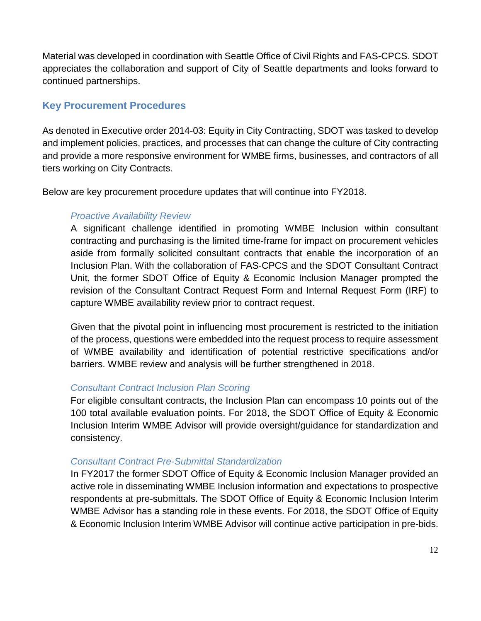Material was developed in coordination with Seattle Office of Civil Rights and FAS-CPCS. SDOT appreciates the collaboration and support of City of Seattle departments and looks forward to continued partnerships.

## **Key Procurement Procedures**

As denoted in Executive order 2014-03: Equity in City Contracting, SDOT was tasked to develop and implement policies, practices, and processes that can change the culture of City contracting and provide a more responsive environment for WMBE firms, businesses, and contractors of all tiers working on City Contracts.

Below are key procurement procedure updates that will continue into FY2018.

## *Proactive Availability Review*

A significant challenge identified in promoting WMBE Inclusion within consultant contracting and purchasing is the limited time-frame for impact on procurement vehicles aside from formally solicited consultant contracts that enable the incorporation of an Inclusion Plan. With the collaboration of FAS-CPCS and the SDOT Consultant Contract Unit, the former SDOT Office of Equity & Economic Inclusion Manager prompted the revision of the Consultant Contract Request Form and Internal Request Form (IRF) to capture WMBE availability review prior to contract request.

Given that the pivotal point in influencing most procurement is restricted to the initiation of the process, questions were embedded into the request process to require assessment of WMBE availability and identification of potential restrictive specifications and/or barriers. WMBE review and analysis will be further strengthened in 2018.

## *Consultant Contract Inclusion Plan Scoring*

For eligible consultant contracts, the Inclusion Plan can encompass 10 points out of the 100 total available evaluation points. For 2018, the SDOT Office of Equity & Economic Inclusion Interim WMBE Advisor will provide oversight/guidance for standardization and consistency.

## *Consultant Contract Pre-Submittal Standardization*

In FY2017 the former SDOT Office of Equity & Economic Inclusion Manager provided an active role in disseminating WMBE Inclusion information and expectations to prospective respondents at pre-submittals. The SDOT Office of Equity & Economic Inclusion Interim WMBE Advisor has a standing role in these events. For 2018, the SDOT Office of Equity & Economic Inclusion Interim WMBE Advisor will continue active participation in pre-bids.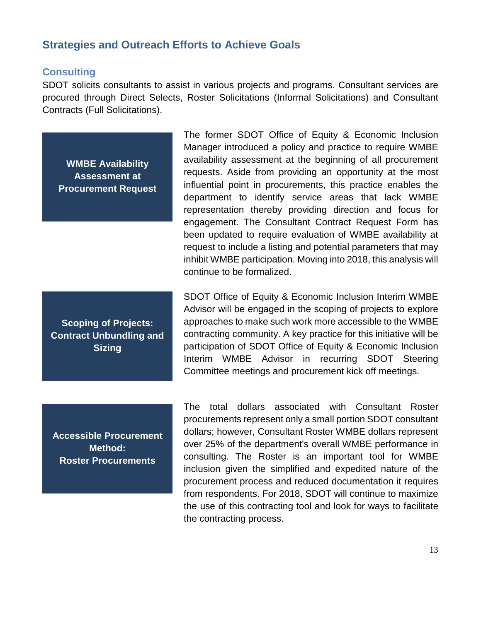## **Strategies and Outreach Efforts to Achieve Goals**

#### **Consulting**

SDOT solicits consultants to assist in various projects and programs. Consultant services are procured through Direct Selects, Roster Solicitations (Informal Solicitations) and Consultant Contracts (Full Solicitations).

**WMBE Availability Assessment at Procurement Request**

The former SDOT Office of Equity & Economic Inclusion Manager introduced a policy and practice to require WMBE availability assessment at the beginning of all procurement requests. Aside from providing an opportunity at the most influential point in procurements, this practice enables the department to identify service areas that lack WMBE representation thereby providing direction and focus for engagement. The Consultant Contract Request Form has been updated to require evaluation of WMBE availability at request to include a listing and potential parameters that may inhibit WMBE participation. Moving into 2018, this analysis will continue to be formalized.

**Scoping of Projects: Contract Unbundling and Sizing**

SDOT Office of Equity & Economic Inclusion Interim WMBE Advisor will be engaged in the scoping of projects to explore approaches to make such work more accessible to the WMBE contracting community. A key practice for this initiative will be participation of SDOT Office of Equity & Economic Inclusion Interim WMBE Advisor in recurring SDOT Steering Committee meetings and procurement kick off meetings.

**Accessible Procurement Method: Roster Procurements**

The total dollars associated with Consultant Roster procurements represent only a small portion SDOT consultant dollars; however, Consultant Roster WMBE dollars represent over 25% of the department's overall WMBE performance in consulting. The Roster is an important tool for WMBE inclusion given the simplified and expedited nature of the procurement process and reduced documentation it requires from respondents. For 2018, SDOT will continue to maximize the use of this contracting tool and look for ways to facilitate the contracting process.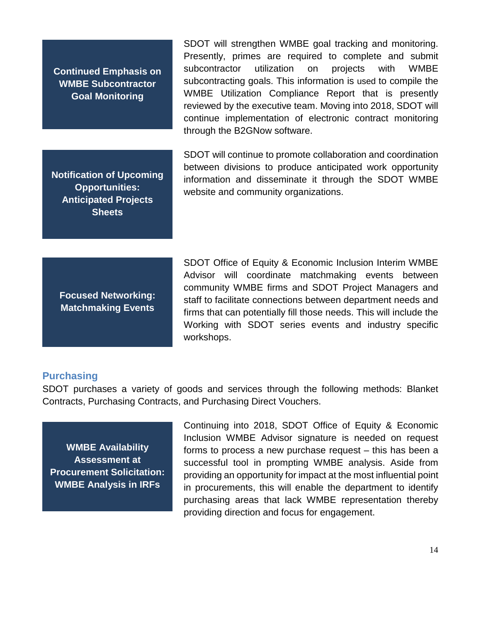**Continued Emphasis on WMBE Subcontractor Goal Monitoring**

**Notification of Upcoming Opportunities: Anticipated Projects Sheets**

SDOT will strengthen WMBE goal tracking and monitoring. Presently, primes are required to complete and submit subcontractor utilization on projects with WMBE subcontracting goals. This information is used to compile the WMBE Utilization Compliance Report that is presently reviewed by the executive team. Moving into 2018, SDOT will continue implementation of electronic contract monitoring through the B2GNow software.

SDOT will continue to promote collaboration and coordination between divisions to produce anticipated work opportunity information and disseminate it through the SDOT WMBE website and community organizations.

**Focused Networking: Matchmaking Events**

SDOT Office of Equity & Economic Inclusion Interim WMBE Advisor will coordinate matchmaking events between community WMBE firms and SDOT Project Managers and staff to facilitate connections between department needs and firms that can potentially fill those needs. This will include the Working with SDOT series events and industry specific workshops.

#### **Purchasing**

SDOT purchases a variety of goods and services through the following methods: Blanket Contracts, Purchasing Contracts, and Purchasing Direct Vouchers.

**WMBE Availability Assessment at Procurement Solicitation: WMBE Analysis in IRFs**

Continuing into 2018, SDOT Office of Equity & Economic Inclusion WMBE Advisor signature is needed on request forms to process a new purchase request – this has been a successful tool in prompting WMBE analysis. Aside from providing an opportunity for impact at the most influential point in procurements, this will enable the department to identify purchasing areas that lack WMBE representation thereby providing direction and focus for engagement.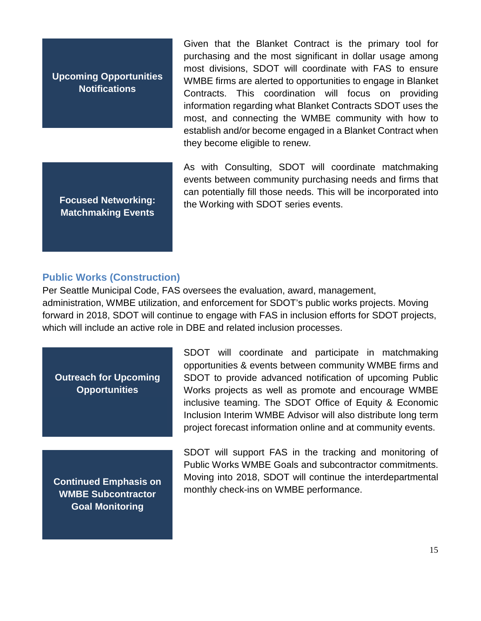**Upcoming Opportunities Notifications**

**Focused Networking: Matchmaking Events**

Given that the Blanket Contract is the primary tool for purchasing and the most significant in dollar usage among most divisions, SDOT will coordinate with FAS to ensure WMBE firms are alerted to opportunities to engage in Blanket Contracts. This coordination will focus on providing information regarding what Blanket Contracts SDOT uses the most, and connecting the WMBE community with how to establish and/or become engaged in a Blanket Contract when they become eligible to renew.

As with Consulting, SDOT will coordinate matchmaking events between community purchasing needs and firms that can potentially fill those needs. This will be incorporated into the Working with SDOT series events.

#### **Public Works (Construction)**

Per Seattle Municipal Code, FAS oversees the evaluation, award, management, administration, WMBE utilization, and enforcement for SDOT's public works projects. Moving forward in 2018, SDOT will continue to engage with FAS in inclusion efforts for SDOT projects, which will include an active role in DBE and related inclusion processes.

**Outreach for Upcoming Opportunities**

**Continued Emphasis on WMBE Subcontractor Goal Monitoring**

SDOT will coordinate and participate in matchmaking opportunities & events between community WMBE firms and SDOT to provide advanced notification of upcoming Public Works projects as well as promote and encourage WMBE inclusive teaming. The SDOT Office of Equity & Economic Inclusion Interim WMBE Advisor will also distribute long term project forecast information online and at community events.

SDOT will support FAS in the tracking and monitoring of Public Works WMBE Goals and subcontractor commitments. Moving into 2018, SDOT will continue the interdepartmental monthly check-ins on WMBE performance.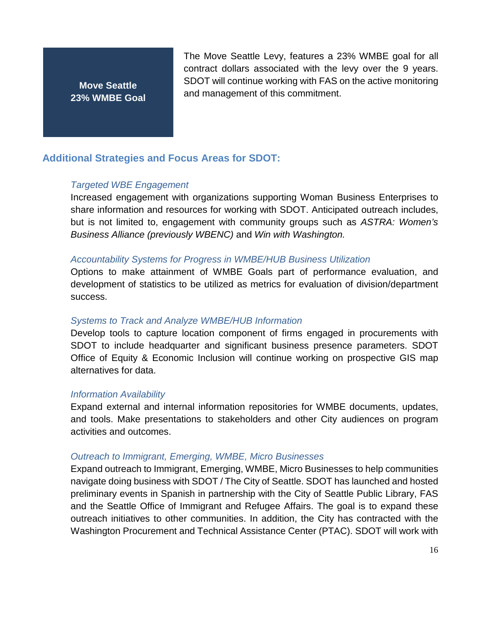**Move Seattle 23% WMBE Goal** The Move Seattle Levy, features a 23% WMBE goal for all contract dollars associated with the levy over the 9 years. SDOT will continue working with FAS on the active monitoring and management of this commitment.

## **Additional Strategies and Focus Areas for SDOT:**

#### *Targeted WBE Engagement*

Increased engagement with organizations supporting Woman Business Enterprises to share information and resources for working with SDOT. Anticipated outreach includes, but is not limited to, engagement with community groups such as *ASTRA: Women's Business Alliance (previously WBENC)* and *Win with Washington.*

#### *Accountability Systems for Progress in WMBE/HUB Business Utilization*

Options to make attainment of WMBE Goals part of performance evaluation, and development of statistics to be utilized as metrics for evaluation of division/department success.

#### *Systems to Track and Analyze WMBE/HUB Information*

Develop tools to capture location component of firms engaged in procurements with SDOT to include headquarter and significant business presence parameters. SDOT Office of Equity & Economic Inclusion will continue working on prospective GIS map alternatives for data.

#### *Information Availability*

Expand external and internal information repositories for WMBE documents, updates, and tools. Make presentations to stakeholders and other City audiences on program activities and outcomes.

#### *Outreach to Immigrant, Emerging, WMBE, Micro Businesses*

Expand outreach to Immigrant, Emerging, WMBE, Micro Businesses to help communities navigate doing business with SDOT / The City of Seattle. SDOT has launched and hosted preliminary events in Spanish in partnership with the City of Seattle Public Library, FAS and the Seattle Office of Immigrant and Refugee Affairs. The goal is to expand these outreach initiatives to other communities. In addition, the City has contracted with the Washington Procurement and Technical Assistance Center (PTAC). SDOT will work with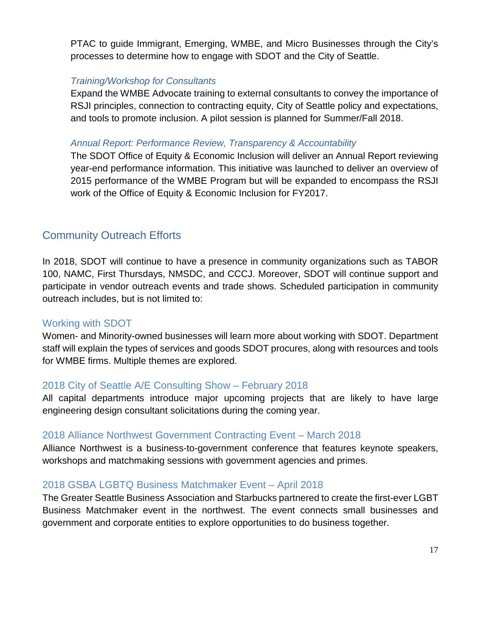PTAC to guide Immigrant, Emerging, WMBE, and Micro Businesses through the City's processes to determine how to engage with SDOT and the City of Seattle.

#### *Training/Workshop for Consultants*

Expand the WMBE Advocate training to external consultants to convey the importance of RSJI principles, connection to contracting equity, City of Seattle policy and expectations, and tools to promote inclusion. A pilot session is planned for Summer/Fall 2018.

#### *Annual Report: Performance Review, Transparency & Accountability*

The SDOT Office of Equity & Economic Inclusion will deliver an Annual Report reviewing year-end performance information. This initiative was launched to deliver an overview of 2015 performance of the WMBE Program but will be expanded to encompass the RSJI work of the Office of Equity & Economic Inclusion for FY2017.

# Community Outreach Efforts

In 2018, SDOT will continue to have a presence in community organizations such as TABOR 100, NAMC, First Thursdays, NMSDC, and CCCJ. Moreover, SDOT will continue support and participate in vendor outreach events and trade shows. Scheduled participation in community outreach includes, but is not limited to:

## Working with SDOT

Women- and Minority-owned businesses will learn more about working with SDOT. Department staff will explain the types of services and goods SDOT procures, along with resources and tools for WMBE firms. Multiple themes are explored.

## 2018 City of Seattle A/E Consulting Show – February 2018

All capital departments introduce major upcoming projects that are likely to have large engineering design consultant solicitations during the coming year.

## 2018 Alliance Northwest Government Contracting Event – March 2018

Alliance Northwest is a business-to-government conference that features keynote speakers, workshops and matchmaking sessions with government agencies and primes.

## 2018 GSBA LGBTQ Business Matchmaker Event – April 2018

The Greater Seattle Business Association and Starbucks partnered to create the first-ever LGBT Business Matchmaker event in the northwest. The event connects small businesses and government and corporate entities to explore opportunities to do business together.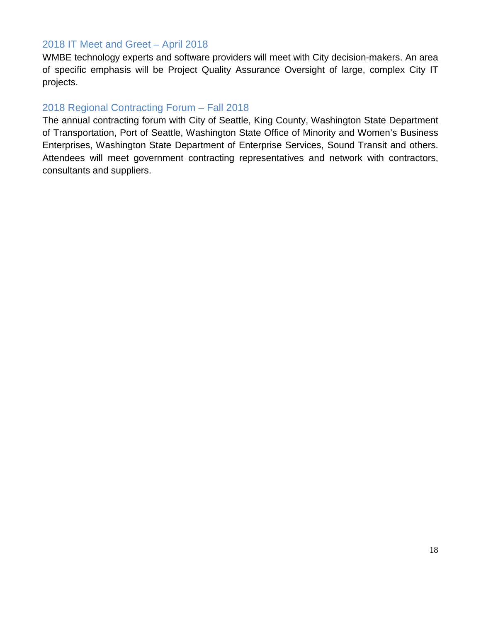## 2018 IT Meet and Greet – April 2018

WMBE technology experts and software providers will meet with City decision-makers. An area of specific emphasis will be Project Quality Assurance Oversight of large, complex City IT projects.

## 2018 Regional Contracting Forum – Fall 2018

The annual contracting forum with City of Seattle, King County, Washington State Department of Transportation, Port of Seattle, Washington State Office of Minority and Women's Business Enterprises, Washington State Department of Enterprise Services, Sound Transit and others. Attendees will meet government contracting representatives and network with contractors, consultants and suppliers.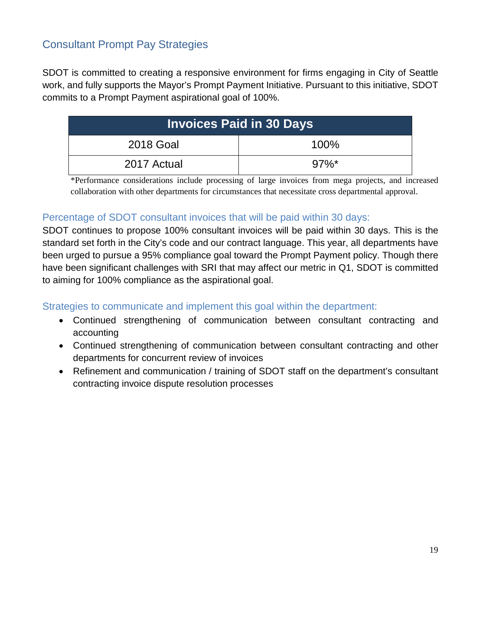# Consultant Prompt Pay Strategies

SDOT is committed to creating a responsive environment for firms engaging in City of Seattle work, and fully supports the Mayor's Prompt Payment Initiative. Pursuant to this initiative, SDOT commits to a Prompt Payment aspirational goal of 100%.

| <b>Invoices Paid in 30 Days</b> |          |  |  |  |
|---------------------------------|----------|--|--|--|
| 2018 Goal                       | 100%     |  |  |  |
| 2017 Actual                     | $97\%$ * |  |  |  |

\*Performance considerations include processing of large invoices from mega projects, and increased collaboration with other departments for circumstances that necessitate cross departmental approval.

## Percentage of SDOT consultant invoices that will be paid within 30 days:

SDOT continues to propose 100% consultant invoices will be paid within 30 days. This is the standard set forth in the City's code and our contract language. This year, all departments have been urged to pursue a 95% compliance goal toward the Prompt Payment policy. Though there have been significant challenges with SRI that may affect our metric in Q1, SDOT is committed to aiming for 100% compliance as the aspirational goal.

Strategies to communicate and implement this goal within the department:

- Continued strengthening of communication between consultant contracting and accounting
- Continued strengthening of communication between consultant contracting and other departments for concurrent review of invoices
- Refinement and communication / training of SDOT staff on the department's consultant contracting invoice dispute resolution processes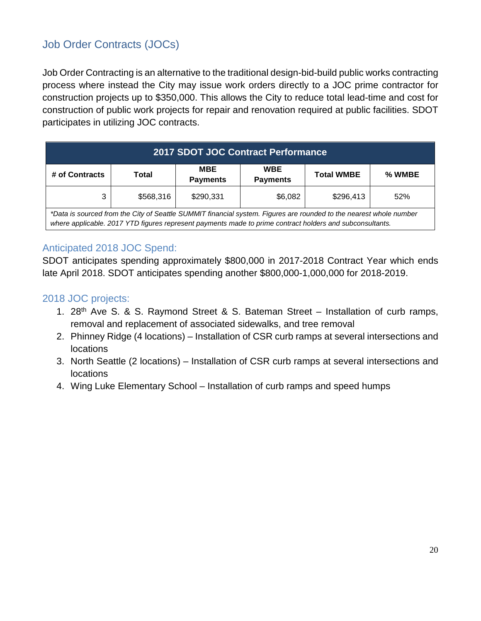# Job Order Contracts (JOCs)

Job Order Contracting is an alternative to the traditional design-bid-build public works contracting process where instead the City may issue work orders directly to a JOC prime contractor for construction projects up to \$350,000. This allows the City to reduce total lead-time and cost for construction of public work projects for repair and renovation required at public facilities. SDOT participates in utilizing JOC contracts.

| <b>2017 SDOT JOC Contract Performance</b>                                                                                                                                                                                      |           |                        |                               |                   |        |  |
|--------------------------------------------------------------------------------------------------------------------------------------------------------------------------------------------------------------------------------|-----------|------------------------|-------------------------------|-------------------|--------|--|
| # of Contracts                                                                                                                                                                                                                 | Total     | MBE<br><b>Payments</b> | <b>WBE</b><br><b>Payments</b> | <b>Total WMBE</b> | % WMBE |  |
| 3                                                                                                                                                                                                                              | \$568,316 | \$290,331              | \$6,082                       | \$296,413         | 52%    |  |
| *Data is sourced from the City of Seattle SUMMIT financial system. Figures are rounded to the nearest whole number<br>where applicable. 2017 YTD figures represent payments made to prime contract holders and subconsultants. |           |                        |                               |                   |        |  |

## Anticipated 2018 JOC Spend:

SDOT anticipates spending approximately \$800,000 in 2017-2018 Contract Year which ends late April 2018. SDOT anticipates spending another \$800,000-1,000,000 for 2018-2019.

## 2018 JOC projects:

- 1. 28<sup>th</sup> Ave S. & S. Raymond Street & S. Bateman Street Installation of curb ramps, removal and replacement of associated sidewalks, and tree removal
- 2. Phinney Ridge (4 locations) Installation of CSR curb ramps at several intersections and locations
- 3. North Seattle (2 locations) Installation of CSR curb ramps at several intersections and locations
- 4. Wing Luke Elementary School Installation of curb ramps and speed humps